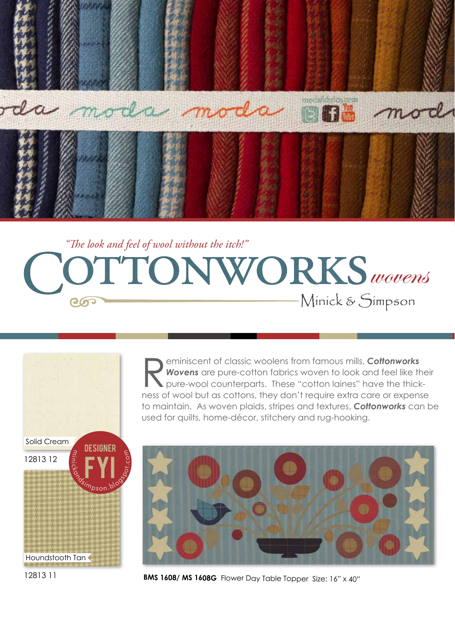

## *"The look and feel of wool without the itch!"* TTONWORKS wovens Minick & Simpson ၉၈၁

**Reminiscent of classic woolens from famous mills, Cottonworks Wovens** are pure-cotton fabrics woven to look and feel like the pure-wool counterparts. These "cotton laines" have the thick *Wovens* are pure-cotton fabrics woven to look and feel like their pure-wool counterparts. These "cotton laines" have the thickness of wool but as cottons, they don't require extra care or expense to maintain. As woven plaids, stripes and textures, *Cottonworks* can be used for quilts, home-décor, stitchery and rug-hooking.

12813 12 Solid Cream FYI  $\mathcal{A}$ Designer ∽. n\_ change Canadians

દ



12813 11

Houndstooth Tan

**BMS 1608/ MS 1608G** Flower Day Table Topper Size: 16" x 40"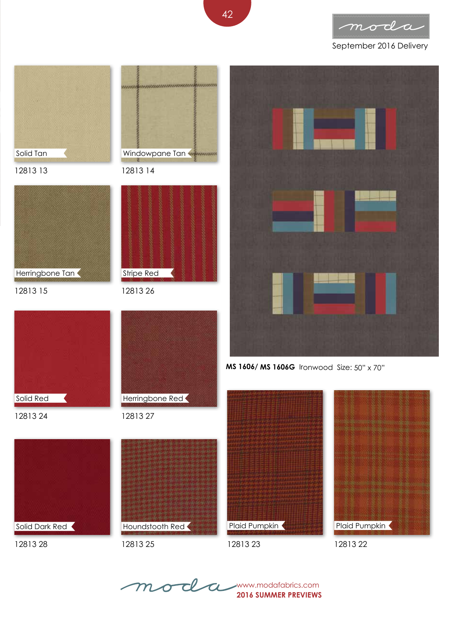

## September 2016 Delivery



**2016 SUMMER PREVIEWS** mode a www.modafabrics.com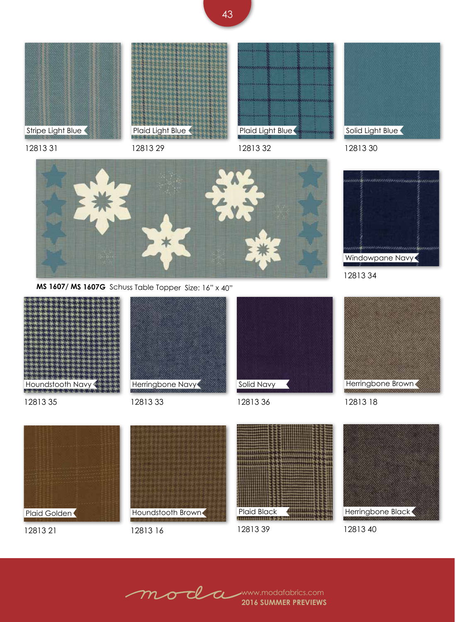

12813 31

Plaid Light Blue

12813 29



12813 32



12813 30



**MS 1607/ MS 1607G** Schuss Table Topper Size: 16" x 40"



12813 21

12813 16

12813 39

12813 40

**2016 SUMMER PREVIEWS** www.modafabrics.com